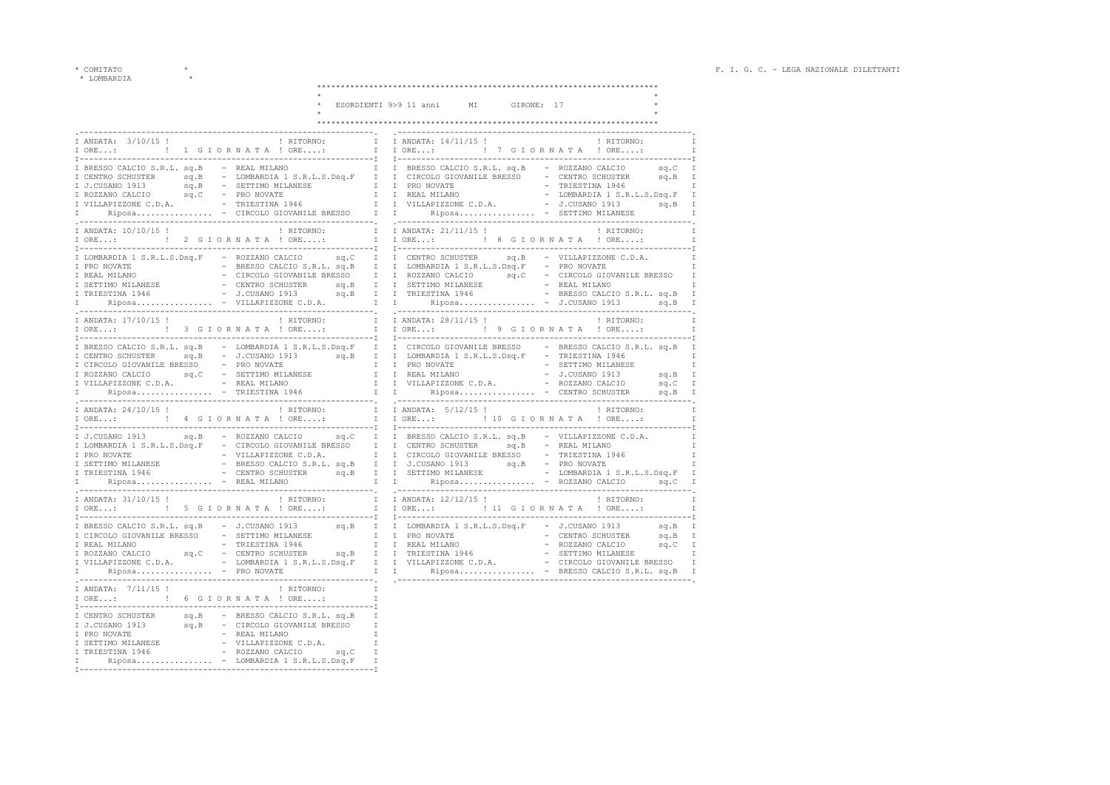$^{\star}$  COMITATO $\qquad \qquad \star$   $\quad \ \, \star$  LOMBARDIA  $\qquad \qquad \star$ 

|                                                    | ESORDIENTI 9>9 11 anni MI GIRONE: 17                                                                                                                                                                                                                                                                                                                                                                               |
|----------------------------------------------------|--------------------------------------------------------------------------------------------------------------------------------------------------------------------------------------------------------------------------------------------------------------------------------------------------------------------------------------------------------------------------------------------------------------------|
|                                                    |                                                                                                                                                                                                                                                                                                                                                                                                                    |
| ------------------------------                     | $\mathbb{I}$                                                                                                                                                                                                                                                                                                                                                                                                       |
|                                                    |                                                                                                                                                                                                                                                                                                                                                                                                                    |
| I ANDATA: 10/10/15 !<br>$I$ ORE: $\qquad \qquad$ ! | $\mathbb{I}$                                                                                                                                                                                                                                                                                                                                                                                                       |
|                                                    |                                                                                                                                                                                                                                                                                                                                                                                                                    |
|                                                    | I ANDATA: 17/10/15 !<br>I RITORNO:<br>I I ANDATA: 28/11/15 !<br><br><br><br><br><br><br><br><br><br><br><br><br><br><br><br><br><br><br><br><br><br><br><br>$\mathbb{I}$<br>I                                                                                                                                                                                                                                      |
|                                                    |                                                                                                                                                                                                                                                                                                                                                                                                                    |
| I ANDATA: 24/10/15 !                               | $\frac{1}{2}$ RITORNO: I I ANDATA: $\frac{5}{12}$ 1<br>! RITORNO:<br>I ORE: : 4 GIORNATA! ORE: I I ORE: : ! 10 GIORNATA ! ORE:                                                                                                                                                                                                                                                                                     |
|                                                    | I J.CUSANO 1913 sq.B - ROZZANO CALCIO sq.C I I BRESSO CALCIO S.R.L. sq.B - VILLAPIZZONE C.D.A.<br>1 COMMODIA 1 S.R.L.S. DSq.F - CIRCOLO GIOVANILE BRESSO 1 I CENTRO SCHUSTER SQ.B - REAL MILANO 1<br>1 FRO NOVATE - VILLAPIZZONE C.D.A. I CIRCOLO GIOVANILE BRESSO 1 CONSARDIA 1946 - PRESSO - TRIESTINA 1946 I TESTINA 1946 - BRE                                                                                 |
|                                                    | TRITORNO: THE SET OR A PARTA: 12/12/15 ! PRITORNO: THE SET OR A PARTA: 12/12/15 ! PRITORNO: ISLAND AT A PORE TRITORNO: ISLAND A TRITORNO: ISLAND A TRITORNO: ISLAND A TRITORNO: ISLAND A TRITORNO: ISLAND A TRITORNO: ISLAND A                                                                                                                                                                                     |
|                                                    | $\begin{tabular}{l c c c c c} \hline {\tt I}-{\tt PFCSSO}-{\tt CALCO} & S.R.L. & S.B & -{\tt J}.{\tt CUSANO} & 1913 & S.g. & {\tt I} & {\tt I}-{\tt I}-{\tt DOMBARDIA} & 1 & S.R.L.S.~{\tt Dsq.F} & -{\tt J}.{\tt CUSANO} & 1913 & S.g. & {\tt I} & {\tt I}-{\tt PRO} & 1 & S.R.L.S.~{\tt Dsq.F} & -{\tt J}.{\tt CUSANO} & 1913 & S.g. & {\tt I} & {\tt I}-{\tt PRO} & 1 & S.R.L.S.~{\tt Dsq.F} & -{\tt J}.{\tt C$ |
| I ORE: : : : : 6 G I O R N A T A ! ORE:            | -------------------------------------<br>T<br>$\mathbb{I}$                                                                                                                                                                                                                                                                                                                                                         |